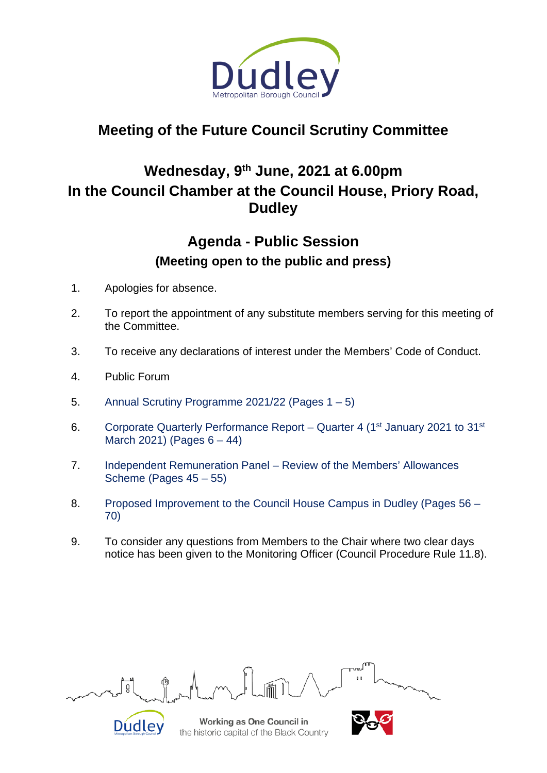

# **Meeting of the Future Council Scrutiny Committee**

## **Wednesday, 9th June, 2021 at 6.00pm In the Council Chamber at the Council House, Priory Road, Dudley**

## **Agenda - Public Session (Meeting open to the public and press)**

- 1. Apologies for absence.
- 2. To report the appointment of any substitute members serving for this meeting of the Committee.
- 3. To receive any declarations of interest under the Members' Code of Conduct.
- 4. Public Forum
- 5. Annual Scrutiny Programme 2021/22 (Pages 1 5)
- 6. Corporate Quarterly Performance Report Quarter 4 (1<sup>st</sup> January 2021 to 31<sup>st</sup> March 2021) (Pages  $6 - 44$ )
- 7. Independent Remuneration Panel Review of the Members' Allowances Scheme (Pages 45 – 55)
- 8. Proposed Improvement to the Council House Campus in Dudley (Pages 56 70)
- 9. To consider any questions from Members to the Chair where two clear days notice has been given to the Monitoring Officer (Council Procedure Rule 11.8).

Working as One Council in Dudley the historic capital of the Black Country

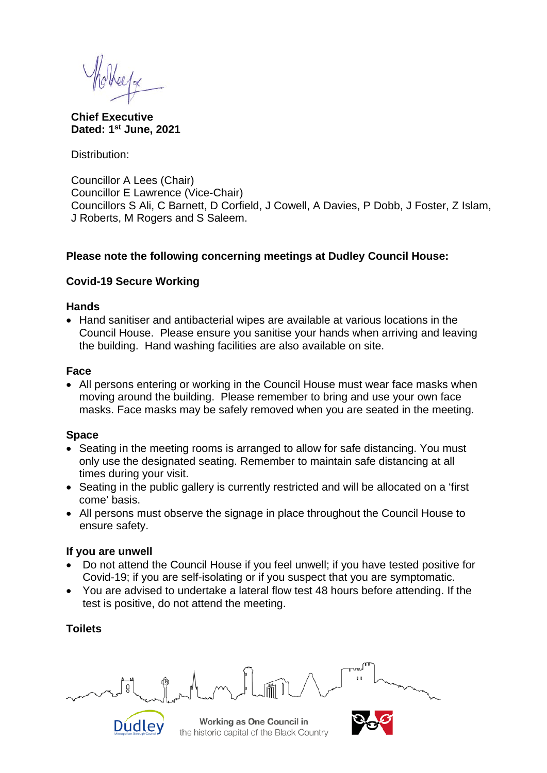**Chief Executive Dated: 1st June, 2021**

Distribution:

Councillor A Lees (Chair) Councillor E Lawrence (Vice-Chair) Councillors S Ali, C Barnett, D Corfield, J Cowell, A Davies, P Dobb, J Foster, Z Islam, J Roberts, M Rogers and S Saleem.

#### **Please note the following concerning meetings at Dudley Council House:**

## **Covid-19 Secure Working**

#### **Hands**

• Hand sanitiser and antibacterial wipes are available at various locations in the Council House. Please ensure you sanitise your hands when arriving and leaving the building. Hand washing facilities are also available on site.

#### **Face**

• All persons entering or working in the Council House must wear face masks when moving around the building. Please remember to bring and use your own face masks. Face masks may be safely removed when you are seated in the meeting.

## **Space**

- Seating in the meeting rooms is arranged to allow for safe distancing. You must only use the designated seating. Remember to maintain safe distancing at all times during your visit.
- Seating in the public gallery is currently restricted and will be allocated on a 'first come' basis.
- All persons must observe the signage in place throughout the Council House to ensure safety.

## **If you are unwell**

- Do not attend the Council House if you feel unwell; if you have tested positive for Covid-19; if you are self-isolating or if you suspect that you are symptomatic.
- You are advised to undertake a lateral flow test 48 hours before attending. If the test is positive, do not attend the meeting.

## **Toilets**



Working as One Council in the historic capital of the Black Country